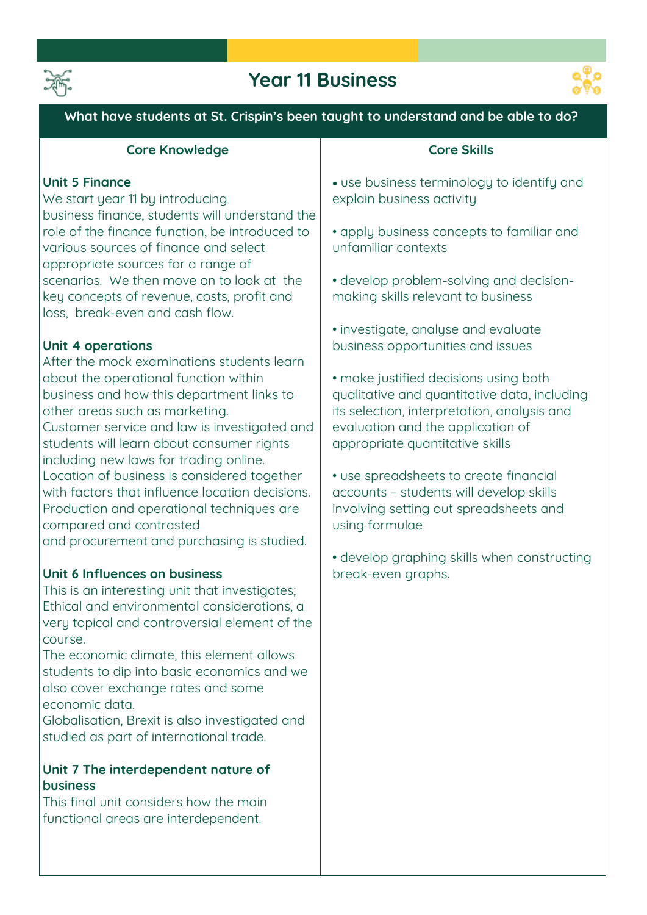

# **Year 11 Business**



**What have students at St. Crispin's been taught to understand and be able to do?**

| <b>Core Knowledge</b>                                                                                                                                                                                                                                       | <b>Core Skills</b>                                                                                                                                                                                           |
|-------------------------------------------------------------------------------------------------------------------------------------------------------------------------------------------------------------------------------------------------------------|--------------------------------------------------------------------------------------------------------------------------------------------------------------------------------------------------------------|
| <b>Unit 5 Finance</b><br>We start year 11 by introducing<br>business finance, students will understand the                                                                                                                                                  | · use business terminology to identify and<br>explain business activity                                                                                                                                      |
| role of the finance function, be introduced to<br>various sources of finance and select<br>appropriate sources for a range of                                                                                                                               | • apply business concepts to familiar and<br>unfamiliar contexts                                                                                                                                             |
| scenarios. We then move on to look at the<br>key concepts of revenue, costs, profit and<br>loss, break-even and cash flow.                                                                                                                                  | • develop problem-solving and decision-<br>making skills relevant to business                                                                                                                                |
| Unit 4 operations<br>After the mock examinations students learn                                                                                                                                                                                             | · investigate, analyse and evaluate<br>business opportunities and issues                                                                                                                                     |
| about the operational function within<br>business and how this department links to<br>other areas such as marketing.<br>Customer service and law is investigated and<br>students will learn about consumer rights<br>including new laws for trading online. | • make justified decisions using both<br>qualitative and quantitative data, including<br>its selection, interpretation, analysis and<br>evaluation and the application of<br>appropriate quantitative skills |
| Location of business is considered together<br>with factors that influence location decisions.<br>Production and operational techniques are<br>compared and contrasted<br>and procurement and purchasing is studied.                                        | • use spreadsheets to create financial<br>accounts - students will develop skills<br>involving setting out spreadsheets and<br>using formulae                                                                |
| Unit 6 Influences on business<br>This is an interesting unit that investigates;<br>Ethical and environmental considerations, a<br>very topical and controversial element of the<br>course.                                                                  | • develop graphing skills when constructing<br>break-even graphs.                                                                                                                                            |
| The economic climate, this element allows<br>students to dip into basic economics and we<br>also cover exchange rates and some<br>economic data.<br>Globalisation, Brexit is also investigated and<br>studied as part of international trade.               |                                                                                                                                                                                                              |
| Unit 7 The interdependent nature of<br><b>business</b><br>This final unit considers how the main                                                                                                                                                            |                                                                                                                                                                                                              |
| functional areas are interdependent.                                                                                                                                                                                                                        |                                                                                                                                                                                                              |